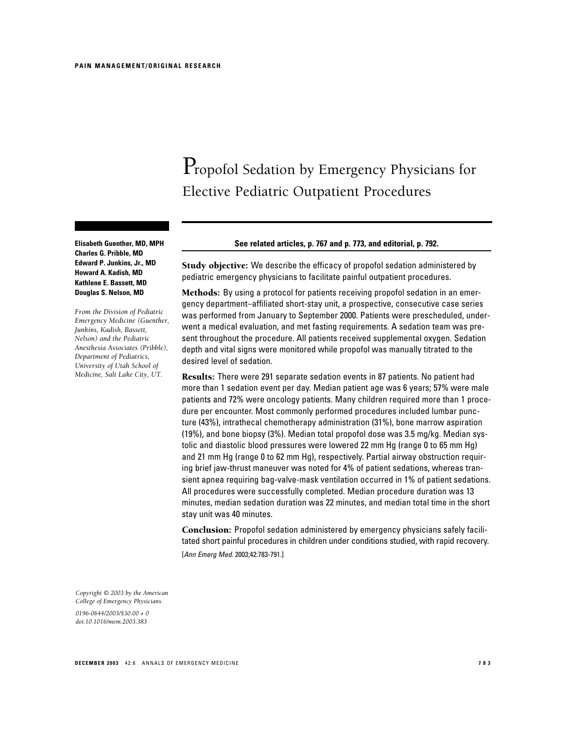# Propofol Sedation by Emergency Physicians for Elective Pediatric Outpatient Procedures

**Elisabeth Guenther, MD, MPH Charles G. Pribble, MD Edward P. Junkins, Jr., MD Howard A. Kadish, MD Kathlene E. Bassett, MD Douglas S. Nelson, MD**

*From the Division of Pediatric Emergency Medicine (Guenther, Junkins, Kadish, Bassett, Nelson) and the Pediatric Anesthesia Associates (Pribble), Department of Pediatrics, University of Utah School of Medicine, Salt Lake City, UT.*

# **See related articles, p. 767 and p. 773, and editorial, p. 792.**

Study objective: We describe the efficacy of propofol sedation administered by pediatric emergency physicians to facilitate painful outpatient procedures.

Methods: By using a protocol for patients receiving propofol sedation in an emergency department–affiliated short-stay unit, a prospective, consecutive case series was performed from January to September 2000. Patients were prescheduled, underwent a medical evaluation, and met fasting requirements. A sedation team was present throughout the procedure. All patients received supplemental oxygen. Sedation depth and vital signs were monitored while propofol was manually titrated to the desired level of sedation.

Results: There were 291 separate sedation events in 87 patients. No patient had more than 1 sedation event per day. Median patient age was 6 years; 57% were male patients and 72% were oncology patients. Many children required more than 1 procedure per encounter. Most commonly performed procedures included lumbar puncture (43%), intrathecal chemotherapy administration (31%), bone marrow aspiration (19%), and bone biopsy (3%). Median total propofol dose was 3.5 mg/kg. Median systolic and diastolic blood pressures were lowered 22 mm Hg (range 0 to 65 mm Hg) and 21 mm Hg (range 0 to 62 mm Hg), respectively. Partial airway obstruction requiring brief jaw-thrust maneuver was noted for 4% of patient sedations, whereas transient apnea requiring bag-valve-mask ventilation occurred in 1% of patient sedations. All procedures were successfully completed. Median procedure duration was 13 minutes, median sedation duration was 22 minutes, and median total time in the short stay unit was 40 minutes.

Conclusion: Propofol sedation administered by emergency physicians safely facilitated short painful procedures in children under conditions studied, with rapid recovery. [Ann Emerg Med. 2003;42:783-791.]

*Copyright © 2003 by the American College of Emergency Physicians.*

*0196-0644/2003/\$30.00 + 0 doi:10.1016/mem.2003.383*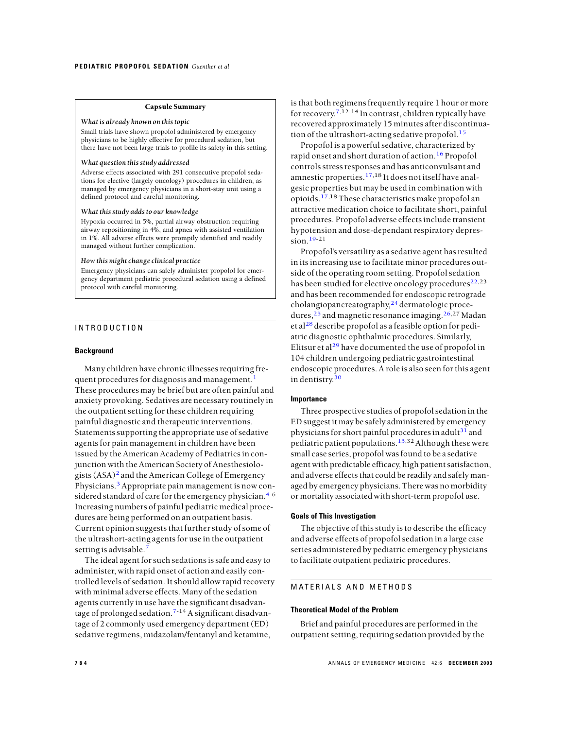#### Capsule Summary

#### *What is already known on this topic*

Small trials have shown propofol administered by emergency physicians to be highly effective for procedural sedation, but there have not been large trials to profile its safety in this setting.

#### *What question this study addressed*

Adverse effects associated with 291 consecutive propofol sedations for elective (largely oncology) procedures in children, as managed by emergency physicians in a short-stay unit using a defined protocol and careful monitoring.

# *What this study adds to our knowledge*

Hypoxia occurred in 5%, partial airway obstruction requiring airway repositioning in 4%, and apnea with assisted ventilation in 1%. All adverse effects were promptly identified and readily managed without further complication.

## *How this might change clinical practice*

Emergency physicians can safely administer propofol for emergency department pediatric procedural sedation using a defined protocol with careful monitoring.

# INTRODUCTION

## **Background**

Many children have chronic illnesses requiring fre-quent procedures for diagnosis and management.<sup>[1](#page-8-0)</sup> These procedures may be brief but are often painful and anxiety provoking. Sedatives are necessary routinely in the outpatient setting for these children requiring painful diagnostic and therapeutic interventions. Statements supporting the appropriate use of sedative agents for pain management in children have been issued by the American Academy of Pediatrics in conjunction with the American Society of Anesthesiologists(ASA)[2](#page-8-0) and the American College of Emergency Physicians.[3](#page-8-0)Appropriate pain management is now con-sidered standard of care for the emergency physician.<sup>[4-](#page-8-0)6</sup> Increasing numbers of painful pediatric medical procedures are being performed on an outpatient basis. Current opinion suggests that further study of some of the ultrashort-acting agents for use in the outpatient setting is advisable.<sup>[7](#page-8-0)</sup>

The ideal agent for such sedations is safe and easy to administer, with rapid onset of action and easily controlled levels of sedation. It should allow rapid recovery with minimal adverse effects. Many of the sedation agents currently in use have the significant disadvan-tage of prolonged sedation.<sup>[7-1](#page-8-0)4</sup> A significant disadvantage of 2 commonly used emergency department (ED) sedative regimens, midazolam/fentanyl and ketamine,

is that both regimens frequently require 1 hour or more for recovery.<sup>[7,](#page-8-0)12-14</sup> In contrast, children typically have recovered approximately 15 minutes after discontinua-tion of the ultrashort-acting sedative propofol.<sup>[15](#page-8-0)</sup>

Propofol is a powerful sedative, characterized by rapid onset and short duration of action.<sup>[16](#page-8-0)</sup> Propofol controls stress responses and has anticonvulsant and amnestic properties.<sup>[17,1](#page-8-0)8</sup> It does not itself have analgesic properties but may be used in combination with opioids.[17,](#page-8-0)18 These characteristics make propofol an attractive medication choice to facilitate short, painful procedures. Propofol adverse effects include transient hypotension and dose-dependant respiratory depression. $19-21$  $19-21$ 

Propofol's versatility as a sedative agent has resulted in its increasing use to facilitate minor procedures outside of the operating room setting. Propofol sedation has been studied for elective oncology procedures<sup>[22,](#page-8-0)23</sup> and has been recommended for endoscopic retrograde cholangiopancreatography, [24](#page-8-0) dermatologic procedures,  $25$  and magnetic resonance imaging.  $26,27$  $26,27$  Madan et al<sup>[28](#page-8-0)</sup> describe propofol as a feasible option for pediatric diagnostic ophthalmic procedures. Similarly, Elitsur et al<sup>[29](#page-8-0)</sup> have documented the use of propofol in 104 children undergoing pediatric gastrointestinal endoscopic procedures. A role is also seen for this agent in dentistry. [30](#page-8-0)

# **Importance**

Three prospective studies of propofol sedation in the ED suggest it may be safely administered by emergency physicians for short painful procedures in adult<sup>[31](#page-8-0)</sup> and pediatric patient populations.<sup>[15,](#page-8-0)32</sup> Although these were small case series, propofol was found to be a sedative agent with predictable efficacy, high patient satisfaction, and adverse effects that could be readily and safely managed by emergency physicians. There was no morbidity or mortality associated with short-term propofol use.

# **Goals of This Investigation**

The objective of this study is to describe the efficacy and adverse effects of propofol sedation in a large case series administered by pediatric emergency physicians to facilitate outpatient pediatric procedures.

# MATERIALS AND METHODS

## **Theoretical Model of the Problem**

Brief and painful procedures are performed in the outpatient setting, requiring sedation provided by the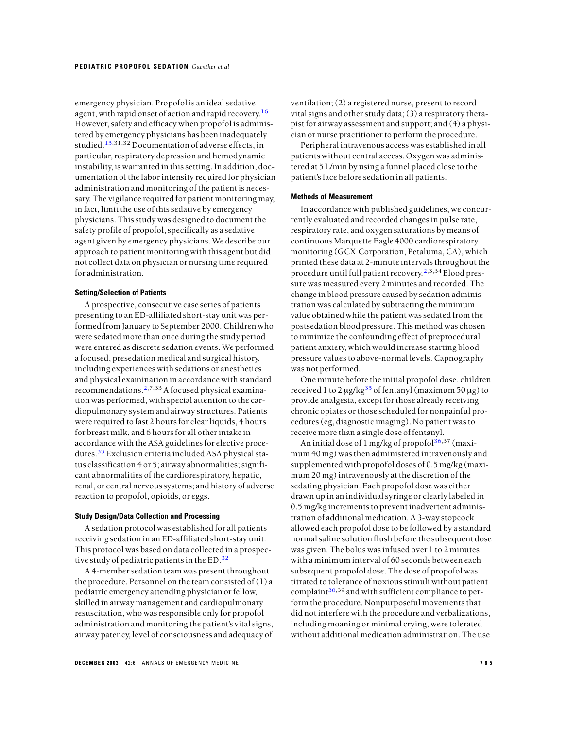emergency physician. Propofol is an ideal sedative agent, with rapid onset of action and rapid recovery.<sup>[16](#page-8-0)</sup> However, safety and efficacy when propofol is administered by emergency physicians has been inadequately studied.[15,](#page-8-0)31,32 Documentation of adverse effects, in particular, respiratory depression and hemodynamic instability, is warranted in this setting. In addition, documentation of the labor intensity required for physician administration and monitoring of the patient is necessary. The vigilance required for patient monitoring may, in fact, limit the use of this sedative by emergency physicians. This study was designed to document the safety profile of propofol, specifically as a sedative agent given by emergency physicians. We describe our approach to patient monitoring with this agent but did not collect data on physician or nursing time required for administration.

## **Setting/Selection of Patients**

A prospective, consecutive case series of patients presenting to an ED-affiliated short-stay unit was performed from January to September 2000. Children who were sedated more than once during the study period were entered as discrete sedation events. We performed a focused, presedation medical and surgical history, including experiences with sedations or anesthetics and physical examination in accordance with standard recommendations.[2,](#page-8-0)7,33A focused physical examination was performed, with special attention to the cardiopulmonary system and airway structures. Patients were required to fast 2 hours for clear liquids, 4 hours for breast milk, and 6 hours for all other intake in accordance with the ASA guidelines for elective proce-dures.<sup>[33](#page-8-0)</sup> Exclusion criteria included ASA physical status classification 4 or 5; airway abnormalities; significant abnormalities of the cardiorespiratory, hepatic, renal, or central nervous systems; and history of adverse reaction to propofol, opioids, or eggs.

## **Study Design/Data Collection and Processing**

A sedation protocol was established for all patients receiving sedation in an ED-affiliated short-stay unit. This protocol was based on data collected in a prospec-tive study of pediatric patients in the ED.<sup>[32](#page-8-0)</sup>

A 4-member sedation team was present throughout the procedure. Personnel on the team consisted of (1) a pediatric emergency attending physician or fellow, skilled in airway management and cardiopulmonary resuscitation, who was responsible only for propofol administration and monitoring the patient's vital signs, airway patency, level of consciousness and adequacy of

ventilation; (2) a registered nurse, present to record vital signs and other study data; (3) a respiratory therapist for airway assessment and support; and (4) a physician or nurse practitioner to perform the procedure.

Peripheral intravenous access was established in all patients without central access. Oxygen was administered at 5 L/min by using a funnel placed close to the patient's face before sedation in all patients.

#### **Methods of Measurement**

In accordance with published guidelines, we concurrently evaluated and recorded changes in pulse rate, respiratory rate, and oxygen saturations by means of continuous Marquette Eagle 4000 cardiorespiratory monitoring (GCX Corporation, Petaluma, CA), which printed these data at 2-minute intervals throughout the procedure until full patient recovery.<sup>[2,](#page-8-0)3,34</sup> Blood pressure was measured every 2 minutes and recorded. The change in blood pressure caused by sedation administration was calculated by subtracting the minimum value obtained while the patient was sedated from the postsedation blood pressure. This method was chosen to minimize the confounding effect of preprocedural patient anxiety, which would increase starting blood pressure values to above-normal levels. Capnography was not performed.

One minute before the initial propofol dose, children received 1 to 2  $\mu$ g/kg<sup>[35](#page-8-0)</sup> of fentanyl (maximum 50  $\mu$ g) to provide analgesia, except for those already receiving chronic opiates or those scheduled for nonpainful procedures (eg, diagnostic imaging). No patient was to receive more than a single dose of fentanyl.

An initial dose of 1 mg/kg of propofol $36,37$  $36,37$  (maximum 40 mg) was then administered intravenously and supplemented with propofol doses of 0.5 mg/kg (maximum 20 mg) intravenously at the discretion of the sedating physician. Each propofol dose was either drawn up in an individual syringe or clearly labeled in 0.5 mg/kg increments to prevent inadvertent administration of additional medication. A 3-way stopcock allowed each propofol dose to be followed by a standard normal saline solution flush before the subsequent dose was given. The bolus was infused over 1 to 2 minutes, with a minimum interval of 60 seconds between each subsequent propofol dose. The dose of propofol was titrated to tolerance of noxious stimuli without patient complaint  $38,39$  $38,39$  and with sufficient compliance to perform the procedure. Nonpurposeful movements that did not interfere with the procedure and verbalizations, including moaning or minimal crying, were tolerated without additional medication administration. The use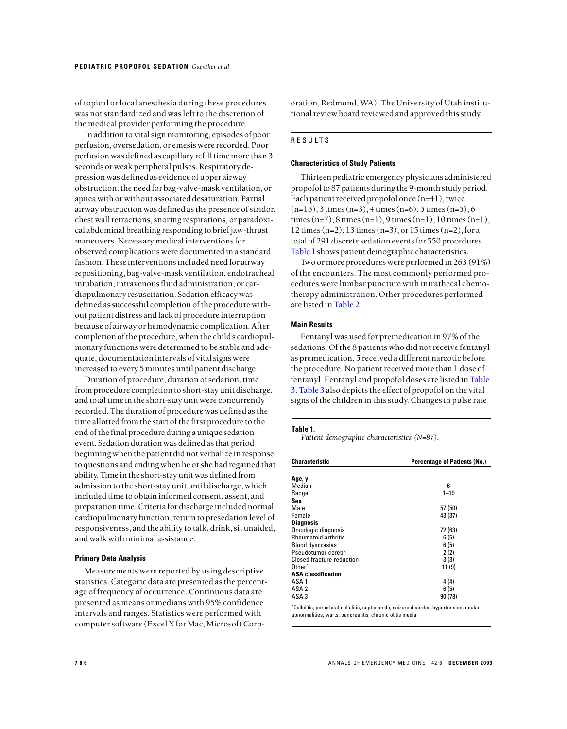<span id="page-3-0"></span>of topical or local anesthesia during these procedures was not standardized and was left to the discretion of the medical provider performing the procedure.

In addition to vital sign monitoring, episodes of poor perfusion, oversedation, or emesis were recorded. Poor perfusion was defined as capillary refill time more than 3 seconds or weak peripheral pulses. Respiratory depression was defined as evidence of upper airway obstruction, the need for bag-valve-mask ventilation, or apnea with or without associated desaturation. Partial airway obstruction was defined as the presence of stridor, chest wall retractions, snoring respirations, or paradoxical abdominal breathing responding to brief jaw-thrust maneuvers. Necessary medical interventions for observed complications were documented in a standard fashion. These interventions included need for airway repositioning, bag-valve-mask ventilation, endotracheal intubation, intravenous fluid administration, or cardiopulmonary resuscitation. Sedation efficacy was defined as successful completion of the procedure without patient distress and lack of procedure interruption because of airway or hemodynamic complication. After completion of the procedure, when the child's cardiopulmonary functions were determined to be stable and adequate, documentation intervals of vital signs were increased to every 5 minutes until patient discharge.

Duration of procedure, duration of sedation, time from procedure completion to short-stay unit discharge, and total time in the short-stay unit were concurrently recorded. The duration of procedure was defined as the time allotted from the start of the first procedure to the end of the final procedure during a unique sedation event. Sedation duration was defined as that period beginning when the patient did not verbalize in response to questions and ending when he or she had regained that ability. Time in the short-stay unit was defined from admission to the short-stay unit until discharge, which included time to obtain informed consent, assent, and preparation time. Criteria for discharge included normal cardiopulmonary function, return to presedation level of responsiveness, and the ability to talk, drink, sit unaided, and walk with minimal assistance.

# **Primary Data Analysis**

Measurements were reported by using descriptive statistics. Categoric data are presented as the percentage of frequency of occurrence. Continuous data are presented as means or medians with 95% confidence intervals and ranges. Statistics were performed with computer software (Excel X for Mac, Microsoft Corporation, Redmond, WA). The University of Utah institutional review board reviewed and approved this study.

# RESULTS

# **Characteristics of Study Patients**

Thirteen pediatric emergency physicians administered propofol to 87 patients during the 9-month study period. Each patient received propofol once (n=41), twice  $(n=15)$ , 3 times  $(n=3)$ , 4 times  $(n=6)$ , 5 times  $(n=5)$ , 6 times (n=7), 8 times (n=1), 9 times (n=1), 10 times (n=1), 12 times (n=2), 13 times (n=3), or 15 times (n=2), for a total of 291 discrete sedation events for 550 procedures. Table 1 shows patient demographic characteristics.

Two or more procedures were performed in 263 (91%) of the encounters. The most commonly performed procedures were lumbar puncture with intrathecal chemotherapy administration. Other procedures performed are listed in [Table](#page-4-0) 2.

# **Main Results**

Fentanyl was used for premedication in 97% of the sedations. Of the 8 patients who did not receive fentanyl as premedication, 5 received a different narcotic before the procedure. No patient received more than 1 dose of fentanyl. Fentanyl and propofol doses are listed in [Table](#page-4-0) [3.](#page-4-0) [Table](#page-4-0) 3 also depicts the effect of propofol on the vital signs of the children in this study. Changes in pulse rate

#### **Table 1.**

*Patient demographic characteristics (N=87).*

| <b>Characteristic</b>                                                                                                                                                                                                          | <b>Percentage of Patients (No.)</b>                                                       |
|--------------------------------------------------------------------------------------------------------------------------------------------------------------------------------------------------------------------------------|-------------------------------------------------------------------------------------------|
| Age, y                                                                                                                                                                                                                         |                                                                                           |
| Median                                                                                                                                                                                                                         | 6                                                                                         |
| Range                                                                                                                                                                                                                          | $1 - 19$                                                                                  |
| Sex                                                                                                                                                                                                                            |                                                                                           |
| Male                                                                                                                                                                                                                           | 57 (50)                                                                                   |
| Female                                                                                                                                                                                                                         | 43 (37)                                                                                   |
| <b>Diagnosis</b>                                                                                                                                                                                                               |                                                                                           |
| Oncologic diagnosis                                                                                                                                                                                                            | 72 (63)                                                                                   |
| <b>Rheumatoid arthritis</b>                                                                                                                                                                                                    | 6(5)                                                                                      |
| <b>Blood dyscrasias</b>                                                                                                                                                                                                        | 6(5)                                                                                      |
| Pseudotumor cerebri                                                                                                                                                                                                            | 2(2)                                                                                      |
| Closed fracture reduction                                                                                                                                                                                                      | 3(3)                                                                                      |
| Other <sup>*</sup>                                                                                                                                                                                                             | 11 (9)                                                                                    |
| <b>ASA classification</b>                                                                                                                                                                                                      |                                                                                           |
| ASA 1                                                                                                                                                                                                                          | 4 (4)                                                                                     |
| ASA 2                                                                                                                                                                                                                          | 6(5)                                                                                      |
| ASA <sub>3</sub>                                                                                                                                                                                                               | 90(78)                                                                                    |
| and the second control of the second control of the second control of the second control of the second control of the second control of the second control of the second control of the second control of the second control o | *Cellulitis, periorbital cellulitis, septic ankle, seizure disorder, hypertension, ocular |

abnormalities, warts, pancreatitis, chronic otitis media.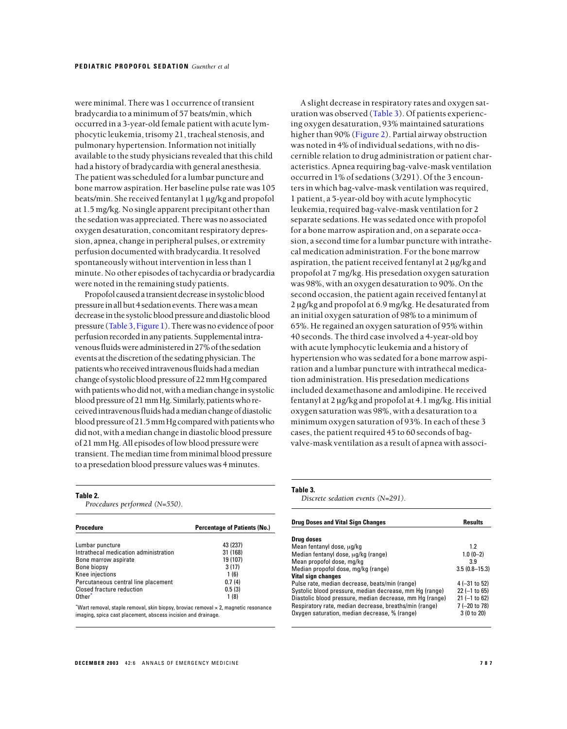<span id="page-4-0"></span>were minimal. There was 1 occurrence of transient bradycardia to a minimum of 57 beats/min, which occurred in a 3-year-old female patient with acute lymphocytic leukemia, trisomy 21, tracheal stenosis, and pulmonary hypertension. Information not initially available to the study physicians revealed that this child had a history of bradycardia with general anesthesia. The patient was scheduled for a lumbar puncture and bone marrow aspiration. Her baseline pulse rate was 105 beats/min. She received fentanyl at 1 µg/kg and propofol at 1.5 mg/kg. No single apparent precipitant other than the sedation was appreciated. There was no associated oxygen desaturation, concomitant respiratory depression, apnea, change in peripheral pulses, or extremity perfusion documented with bradycardia. It resolved spontaneously without intervention in less than 1 minute. No other episodes of tachycardia or bradycardia were noted in the remaining study patients.

Propofol caused a transient decrease in systolic blood pressure in all but 4 sedation events. There was a mean decrease in the systolic blood pressure and diastolic blood pressure (Table 3, Figure 1). There was no evidence of poor perfusion recorded in any patients. Supplemental intravenous fluids were administered in 27% of the sedation events at the discretion of the sedating physician. The patients who received intravenous fluids had a median change of systolic blood pressure of 22 mm Hg compared with patients who did not, with a median change in systolic blood pressure of 21 mm Hg. Similarly, patients who received intravenous fluids had a median change of diastolic blood pressure of 21.5 mm Hg compared with patients who did not, with a median change in diastolic blood pressure of 21 mm Hg. All episodes of low blood pressure were transient. The median time from minimal blood pressure to a presedation blood pressure values was 4 minutes.

#### **Table 2.**

*Procedures performed (N=550).*

| <b>Procedure</b>                                                                                                                                            | <b>Percentage of Patients (No.)</b> |
|-------------------------------------------------------------------------------------------------------------------------------------------------------------|-------------------------------------|
| Lumbar puncture                                                                                                                                             | 43 (237)                            |
| Intrathecal medication administration                                                                                                                       | 31 (168)                            |
| Bone marrow aspirate                                                                                                                                        | 19 (107)                            |
| Bone biopsy                                                                                                                                                 | 3(17)                               |
| Knee injections                                                                                                                                             | 1(6)                                |
| Percutaneous central line placement                                                                                                                         | 0.7(4)                              |
| <b>Closed fracture reduction</b>                                                                                                                            | 0.5(3)                              |
| Other <sup>*</sup>                                                                                                                                          | 1(8)                                |
| "Wart removal, staple removal, skin biopsy, broviac removal $\times$ 2, magnetic resonance<br>imaging, spica cast placement, abscess incision and drainage. |                                     |

A slight decrease in respiratory rates and oxygen saturation was observed (Table 3). Of patients experiencing oxygen desaturation, 93% maintained saturations higher than 90% [\(Figure 2\)](#page-5-0). Partial airway obstruction was noted in 4% of individual sedations, with no discernible relation to drug administration or patient characteristics. Apnea requiring bag-valve-mask ventilation occurred in 1% of sedations (3/291). Of the 3 encounters in which bag-valve-mask ventilation was required, 1 patient, a 5-year-old boy with acute lymphocytic leukemia, required bag-valve-mask ventilation for 2 separate sedations. He was sedated once with propofol for a bone marrow aspiration and, on a separate occasion, a second time for a lumbar puncture with intrathecal medication administration. For the bone marrow aspiration, the patient received fentanyl at 2 µg/kg and propofol at 7 mg/kg. His presedation oxygen saturation was 98%, with an oxygen desaturation to 90%. On the second occasion, the patient again received fentanyl at 2 µg/kg and propofol at 6.9 mg/kg. He desaturated from an initial oxygen saturation of 98% to a minimum of 65%. He regained an oxygen saturation of 95% within 40 seconds. The third case involved a 4-year-old boy with acute lymphocytic leukemia and a history of hypertension who was sedated for a bone marrow aspiration and a lumbar puncture with intrathecal medication administration. His presedation medications included dexamethasone and amlodipine. He received fentanyl at 2 µg/kg and propofol at 4.1 mg/kg. His initial oxygen saturation was 98%, with a desaturation to a minimum oxygen saturation of 93%. In each of these 3 cases, the patient required 45 to 60 seconds of bagvalve-mask ventilation as a result of apnea with associ-

## **Table 3.**

*Discrete sedation events (N=291).*

| <b>Drug Doses and Vital Sign Changes</b>                 | Results           |
|----------------------------------------------------------|-------------------|
| Drug doses                                               |                   |
| Mean fentanyl dose, ug/kg                                | 1.2               |
| Median fentanyl dose, ug/kg (range)                      | $1.0(0-2)$        |
| Mean propofol dose, mg/kg                                | 3.9               |
| Median propofol dose, mg/kg (range)                      | $3.5(0.8 - 15.3)$ |
| <b>Vital sign changes</b>                                |                   |
| Pulse rate, median decrease, beats/min (range)           | $4 (-31 to 52)$   |
| Systolic blood pressure, median decrease, mm Hq (range)  | $22$ (-1 to 65)   |
| Diastolic blood pressure, median decrease, mm Hq (range) | $21$ (-1 to 62)   |
| Respiratory rate, median decrease, breaths/min (range)   | 7 (-20 to 78)     |
| Oxygen saturation, median decrease, % (range)            | 3 (0 to 20)       |
|                                                          |                   |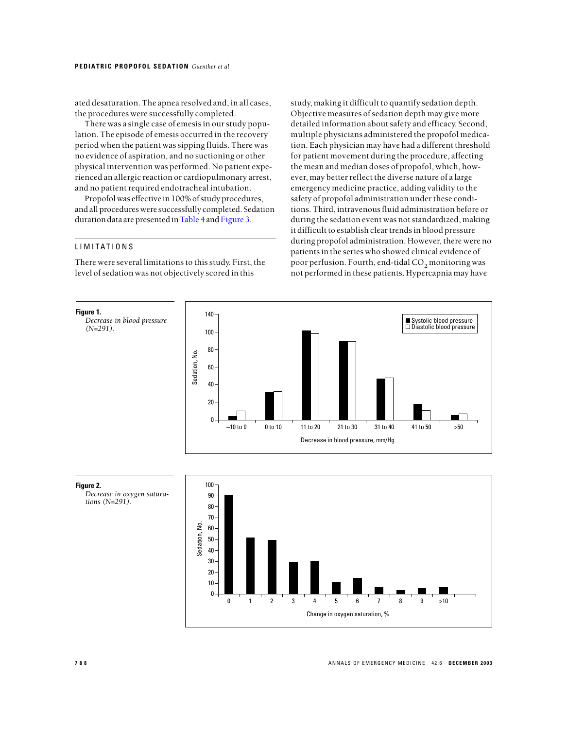<span id="page-5-0"></span>ated desaturation. The apnea resolved and, in all cases, the procedures were successfully completed.

There was a single case of emesis in our study population. The episode of emesis occurred in the recovery period when the patient was sipping fluids. There was no evidence of aspiration, and no suctioning or other physical intervention was performed. No patient experienced an allergic reaction or cardiopulmonary arrest, and no patient required endotracheal intubation.

Propofol was effective in 100% of study procedures, and all procedures were successfully completed. Sedation duration data are presented in [Table 4](#page-6-0) and [Figure 3.](#page-6-0)

# LIMITATIONS

There were several limitations to this study. First, the level of sedation was not objectively scored in this

study, making it difficult to quantify sedation depth. Objective measures of sedation depth may give more detailed information about safety and efficacy. Second, multiple physicians administered the propofol medication. Each physician may have had a different threshold for patient movement during the procedure, affecting the mean and median doses of propofol, which, however, may better reflect the diverse nature of a large emergency medicine practice, adding validity to the safety of propofol administration under these conditions. Third, intravenous fluid administration before or during the sedation event was not standardized, making it difficult to establish clear trends in blood pressure during propofol administration. However, there were no patients in the series who showed clinical evidence of poor perfusion. Fourth, end-tidal CO<sub>2</sub> monitoring was not performed in these patients. Hypercapnia may have



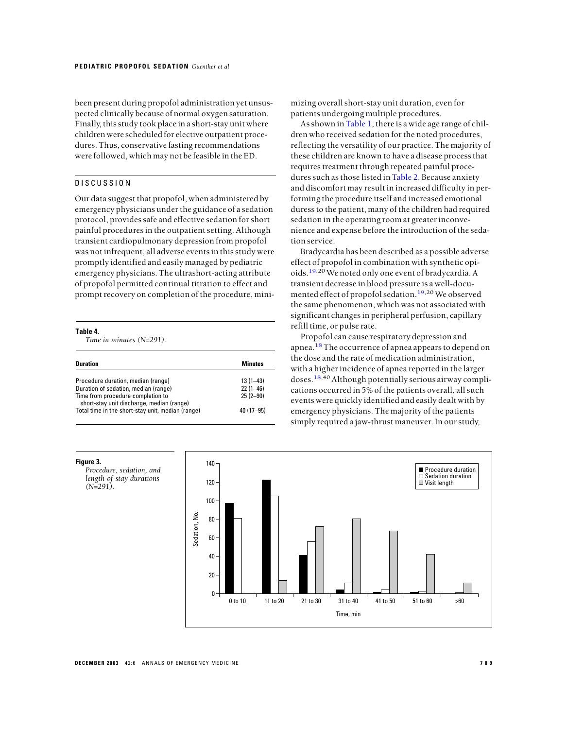<span id="page-6-0"></span>been present during propofol administration yet unsuspected clinically because of normal oxygen saturation. Finally, this study took place in a short-stay unit where children were scheduled for elective outpatient procedures. Thus, conservative fasting recommendations were followed, which may not be feasible in the ED.

# DISCUSSION

Our data suggest that propofol, when administered by emergency physicians under the guidance of a sedation protocol, provides safe and effective sedation for short painful procedures in the outpatient setting. Although transient cardiopulmonary depression from propofol was not infrequent, all adverse events in this study were promptly identified and easily managed by pediatric emergency physicians. The ultrashort-acting attribute of propofol permitted continual titration to effect and prompt recovery on completion of the procedure, mini-

#### **Table 4.**

**Figure 3.**

*(N=291).*

*Time in minutes (N=291).*

| <b>Duration</b>                                                                                                                                                                                                   | <b>Minutes</b>                                            |
|-------------------------------------------------------------------------------------------------------------------------------------------------------------------------------------------------------------------|-----------------------------------------------------------|
| Procedure duration, median (range)<br>Duration of sedation, median (range)<br>Time from procedure completion to<br>short-stay unit discharge, median (range)<br>Total time in the short-stay unit, median (range) | $13(1 - 43)$<br>$22(1 - 46)$<br>$25(2-90)$<br>$40(17-95)$ |

mizing overall short-stay unit duration, even for patients undergoing multiple procedures.

As shown in [Table 1,](#page-3-0) there is a wide age range of children who received sedation for the noted procedures, reflecting the versatility of our practice. The majority of these children are known to have a disease process that requires treatment through repeated painful proce-dures such as those listed in [Table](#page-4-0) 2. Because anxiety and discomfort may result in increased difficulty in performing the procedure itself and increased emotional duress to the patient, many of the children had required sedation in the operating room at greater inconvenience and expense before the introduction of the sedation service.

Bradycardia has been described as a possible adverse effect of propofol in combination with synthetic opioids.[19,](#page-8-0)20We noted only one event of bradycardia. A transient decrease in blood pressure is a well-docu-mented effect of propofol sedation.<sup>[19,](#page-8-0)20</sup> We observed the same phenomenon, which was not associated with significant changes in peripheral perfusion, capillary refill time, or pulse rate.

Propofol can cause respiratory depression and apnea.<sup>[18](#page-8-0)</sup> The occurrence of apnea appears to depend on the dose and the rate of medication administration, with a higher incidence of apnea reported in the larger doses.<sup>[18,4](#page-8-0)0</sup> Although potentially serious airway complications occurred in 5% of the patients overall, all such events were quickly identified and easily dealt with by emergency physicians. The majority of the patients simply required a jaw-thrust maneuver. In our study,

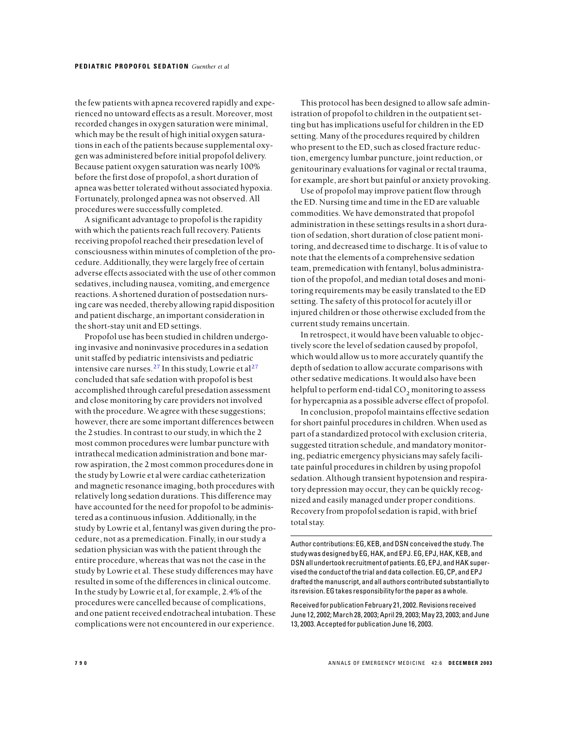the few patients with apnea recovered rapidly and experienced no untoward effects as a result. Moreover, most recorded changes in oxygen saturation were minimal, which may be the result of high initial oxygen saturations in each of the patients because supplemental oxygen was administered before initial propofol delivery. Because patient oxygen saturation was nearly 100% before the first dose of propofol, a short duration of apnea was better tolerated without associated hypoxia. Fortunately, prolonged apnea was not observed. All procedures were successfully completed.

A significant advantage to propofol is the rapidity with which the patients reach full recovery. Patients receiving propofol reached their presedation level of consciousness within minutes of completion of the procedure. Additionally, they were largely free of certain adverse effects associated with the use of other common sedatives, including nausea, vomiting, and emergence reactions. A shortened duration of postsedation nursing care was needed, thereby allowing rapid disposition and patient discharge, an important consideration in the short-stay unit and ED settings.

Propofol use has been studied in children undergoing invasive and noninvasive procedures in a sedation unit staffed by pediatric intensivists and pediatric intensive care nurses.<sup>[27](#page-8-0)</sup> In this study, Lowrie et al<sup>27</sup> concluded that safe sedation with propofol is best accomplished through careful presedation assessment and close monitoring by care providers not involved with the procedure. We agree with these suggestions; however, there are some important differences between the 2 studies. In contrast to our study, in which the 2 most common procedures were lumbar puncture with intrathecal medication administration and bone marrow aspiration, the 2 most common procedures done in the study by Lowrie et al were cardiac catheterization and magnetic resonance imaging, both procedures with relatively long sedation durations. This difference may have accounted for the need for propofol to be administered as a continuous infusion. Additionally, in the study by Lowrie et al, fentanyl was given during the procedure, not as a premedication. Finally, in our study a sedation physician was with the patient through the entire procedure, whereas that was not the case in the study by Lowrie et al. These study differences may have resulted in some of the differences in clinical outcome. In the study by Lowrie et al, for example, 2.4% of the procedures were cancelled because of complications, and one patient received endotracheal intubation. These complications were not encountered in our experience.

This protocol has been designed to allow safe administration of propofol to children in the outpatient setting but has implications useful for children in the ED setting. Many of the procedures required by children who present to the ED, such as closed fracture reduction, emergency lumbar puncture, joint reduction, or genitourinary evaluations for vaginal or rectal trauma, for example, are short but painful or anxiety provoking.

Use of propofol may improve patient flow through the ED. Nursing time and time in the ED are valuable commodities. We have demonstrated that propofol administration in these settings results in a short duration of sedation, short duration of close patient monitoring, and decreased time to discharge. It is of value to note that the elements of a comprehensive sedation team, premedication with fentanyl, bolus administration of the propofol, and median total doses and monitoring requirements may be easily translated to the ED setting. The safety of this protocol for acutely ill or injured children or those otherwise excluded from the current study remains uncertain.

In retrospect, it would have been valuable to objectively score the level of sedation caused by propofol, which would allow us to more accurately quantify the depth of sedation to allow accurate comparisons with other sedative medications. It would also have been helpful to perform end-tidal CO<sub>2</sub> monitoring to assess for hypercapnia as a possible adverse effect of propofol.

In conclusion, propofol maintains effective sedation for short painful procedures in children. When used as part of a standardized protocol with exclusion criteria, suggested titration schedule, and mandatory monitoring, pediatric emergency physicians may safely facilitate painful procedures in children by using propofol sedation. Although transient hypotension and respiratory depression may occur, they can be quickly recognized and easily managed under proper conditions. Recovery from propofol sedation is rapid, with brief total stay.

Author contributions: EG, KEB, and DSN conceived the study. The study was designed by EG, HAK, and EPJ. EG, EPJ, HAK, KEB, and DSN all undertook recruitment of patients. EG, EPJ, and HAK supervised the conduct of the trial and data collection. EG, CP, and EPJ drafted the manuscript, and all authors contributed substantially to its revision. EG takes responsibility for the paper as a whole.

Received for publication February 21, 2002. Revisions received June 12, 2002; March 28, 2003; April 29, 2003; May 23, 2003; and June 13, 2003. Accepted for publication June 16, 2003.